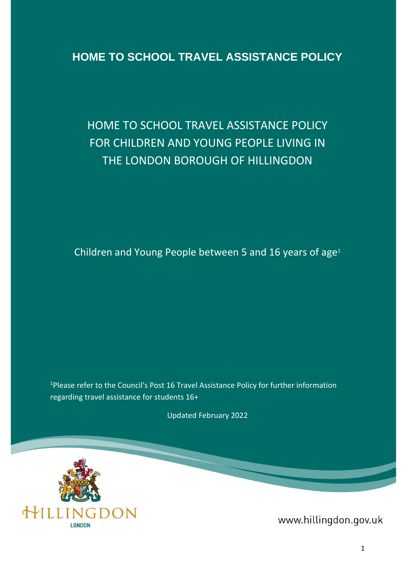# **HOME TO SCHOOL TRAVEL ASSISTANCE POLICY**

# HOME TO SCHOOL TRAVEL ASSISTANCE POLICY FOR CHILDREN AND YOUNG PEOPLE LIVING IN THE LONDON BOROUGH OF HILLINGDON

Children and Young People between 5 and 16 years of age<sup>1</sup>

<sup>1</sup>Please refer to the Council's Post 16 Travel Assistance Policy for further information regarding travel assistance for students 16+

Updated February 2022



www.hillingdon.gov.uk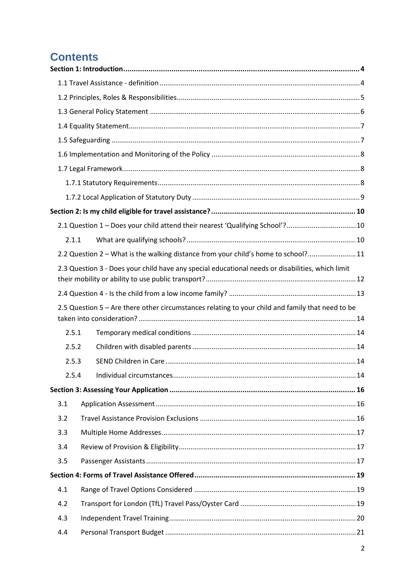# **Contents**

|       | 2.1 Question 1 - Does your child attend their nearest 'Qualifying School'?10                     |  |
|-------|--------------------------------------------------------------------------------------------------|--|
| 2.1.1 |                                                                                                  |  |
|       | 2.2 Question 2 - What is the walking distance from your child's home to school? 11               |  |
|       | 2.3 Question 3 - Does your child have any special educational needs or disabilities, which limit |  |
|       |                                                                                                  |  |
|       | 2.5 Question 5 - Are there other circumstances relating to your child and family that need to be |  |
| 2.5.1 |                                                                                                  |  |
| 2.5.2 |                                                                                                  |  |
| 2.5.3 |                                                                                                  |  |
|       | 2.5.4                                                                                            |  |
|       |                                                                                                  |  |
| 3.1   |                                                                                                  |  |
| 3.2   |                                                                                                  |  |
| 3.3   |                                                                                                  |  |
| 3.4   |                                                                                                  |  |
| 3.5   |                                                                                                  |  |
|       |                                                                                                  |  |
| 4.1   |                                                                                                  |  |
| 4.2   |                                                                                                  |  |
| 4.3   |                                                                                                  |  |
| 4.4   |                                                                                                  |  |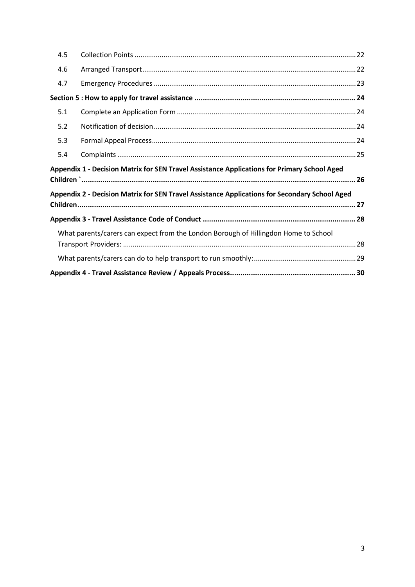| 4.5 |                                                                                               |
|-----|-----------------------------------------------------------------------------------------------|
| 4.6 |                                                                                               |
| 4.7 |                                                                                               |
|     |                                                                                               |
| 5.1 |                                                                                               |
| 5.2 |                                                                                               |
| 5.3 |                                                                                               |
| 5.4 |                                                                                               |
|     |                                                                                               |
|     | Appendix 1 - Decision Matrix for SEN Travel Assistance Applications for Primary School Aged   |
|     | Appendix 2 - Decision Matrix for SEN Travel Assistance Applications for Secondary School Aged |
|     |                                                                                               |
|     |                                                                                               |
|     | What parents/carers can expect from the London Borough of Hillingdon Home to School           |
|     |                                                                                               |
|     |                                                                                               |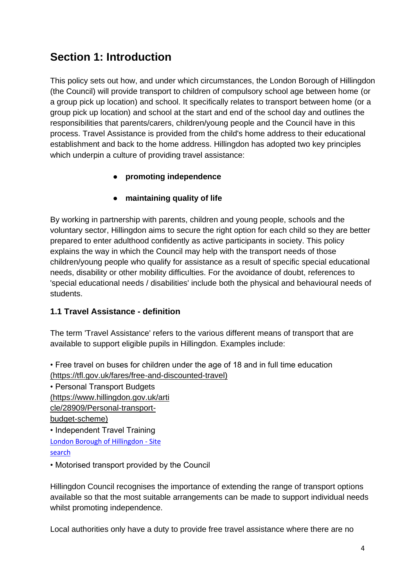# <span id="page-3-0"></span>**Section 1: Introduction**

This policy sets out how, and under which circumstances, the London Borough of Hillingdon (the Council) will provide transport to children of compulsory school age between home (or a group pick up location) and school. It specifically relates to transport between home (or a group pick up location) and school at the start and end of the school day and outlines the responsibilities that parents/carers, children/young people and the Council have in this process. Travel Assistance is provided from the child's home address to their educational establishment and back to the home address. Hillingdon has adopted two key principles which underpin a culture of providing travel assistance:

# ● **promoting independence**

# ● **maintaining quality of life**

By working in partnership with parents, children and young people, schools and the voluntary sector, Hillingdon aims to secure the right option for each child so they are better prepared to enter adulthood confidently as active participants in society. This policy explains the way in which the Council may help with the transport needs of those children/young people who qualify for assistance as a result of specific special educational needs, disability or other mobility difficulties. For the avoidance of doubt, references to 'special educational needs / disabilities' include both the physical and behavioural needs of students.

## <span id="page-3-1"></span>**1.1 Travel Assistance - definition**

The term 'Travel Assistance' refers to the various different means of transport that are available to support eligible pupils in Hillingdon. Examples include:

• Free travel on buses for children under the age of 18 and in full time education (https://tfl.gov.uk/fares/free-and-discounted-travel)

• Personal Transport Budgets (https://www.hillingdon.gov.uk/arti cle/28909/Personal-transportbudget-scheme) • Independent Travel Training [London Borough of Hillingdon -](https://archive.hillingdon.gov.uk/29826?q=travel+training&go=Search) Site

[search](https://archive.hillingdon.gov.uk/29826?q=travel+training&go=Search)

• Motorised transport provided by the Council

Hillingdon Council recognises the importance of extending the range of transport options available so that the most suitable arrangements can be made to support individual needs whilst promoting independence.

Local authorities only have a duty to provide free travel assistance where there are no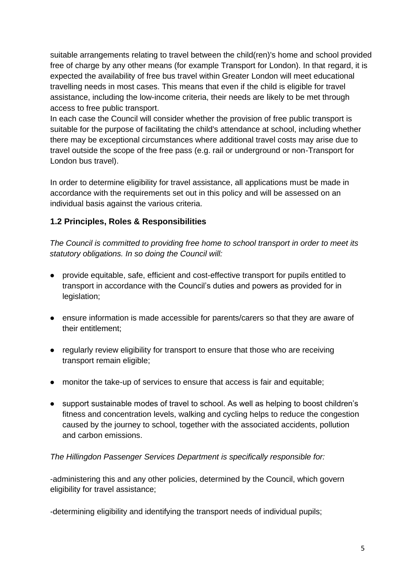suitable arrangements relating to travel between the child(ren)'s home and school provided free of charge by any other means (for example Transport for London). In that regard, it is expected the availability of free bus travel within Greater London will meet educational travelling needs in most cases. This means that even if the child is eligible for travel assistance, including the low-income criteria, their needs are likely to be met through access to free public transport.

In each case the Council will consider whether the provision of free public transport is suitable for the purpose of facilitating the child's attendance at school, including whether there may be exceptional circumstances where additional travel costs may arise due to travel outside the scope of the free pass (e.g. rail or underground or non-Transport for London bus travel).

In order to determine eligibility for travel assistance, all applications must be made in accordance with the requirements set out in this policy and will be assessed on an individual basis against the various criteria.

# <span id="page-4-0"></span>**1.2 Principles, Roles & Responsibilities**

*The Council is committed to providing free home to school transport in order to meet its statutory obligations. In so doing the Council will:* 

- provide equitable, safe, efficient and cost-effective transport for pupils entitled to transport in accordance with the Council's duties and powers as provided for in legislation;
- ensure information is made accessible for parents/carers so that they are aware of their entitlement;
- regularly review eligibility for transport to ensure that those who are receiving transport remain eligible;
- monitor the take-up of services to ensure that access is fair and equitable;
- support sustainable modes of travel to school. As well as helping to boost children's fitness and concentration levels, walking and cycling helps to reduce the congestion caused by the journey to school, together with the associated accidents, pollution and carbon emissions.

### *The Hillingdon Passenger Services Department is specifically responsible for:*

-administering this and any other policies, determined by the Council, which govern eligibility for travel assistance;

-determining eligibility and identifying the transport needs of individual pupils;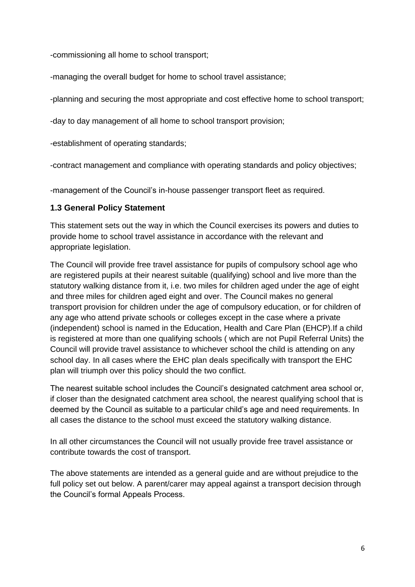-commissioning all home to school transport;

-managing the overall budget for home to school travel assistance;

-planning and securing the most appropriate and cost effective home to school transport;

-day to day management of all home to school transport provision;

-establishment of operating standards;

-contract management and compliance with operating standards and policy objectives;

-management of the Council's in-house passenger transport fleet as required.

## <span id="page-5-0"></span>**1.3 General Policy Statement**

This statement sets out the way in which the Council exercises its powers and duties to provide home to school travel assistance in accordance with the relevant and appropriate legislation.

The Council will provide free travel assistance for pupils of compulsory school age who are registered pupils at their nearest suitable (qualifying) school and live more than the statutory walking distance from it, i.e. two miles for children aged under the age of eight and three miles for children aged eight and over. The Council makes no general transport provision for children under the age of compulsory education, or for children of any age who attend private schools or colleges except in the case where a private (independent) school is named in the Education, Health and Care Plan (EHCP).If a child is registered at more than one qualifying schools ( which are not Pupil Referral Units) the Council will provide travel assistance to whichever school the child is attending on any school day. In all cases where the EHC plan deals specifically with transport the EHC plan will triumph over this policy should the two conflict.

The nearest suitable school includes the Council's designated catchment area school or, if closer than the designated catchment area school, the nearest qualifying school that is deemed by the Council as suitable to a particular child's age and need requirements. In all cases the distance to the school must exceed the statutory walking distance.

In all other circumstances the Council will not usually provide free travel assistance or contribute towards the cost of transport.

The above statements are intended as a general guide and are without prejudice to the full policy set out below. A parent/carer may appeal against a transport decision through the Council's formal Appeals Process.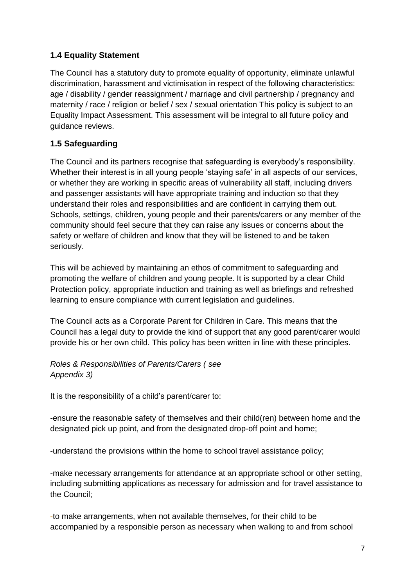# <span id="page-6-0"></span>**1.4 Equality Statement**

The Council has a statutory duty to promote equality of opportunity, eliminate unlawful discrimination, harassment and victimisation in respect of the following characteristics: age / disability / gender reassignment / marriage and civil partnership / pregnancy and maternity / race / religion or belief / sex / sexual orientation This policy is subject to an Equality Impact Assessment. This assessment will be integral to all future policy and guidance reviews.

## <span id="page-6-1"></span>**1.5 Safeguarding**

The Council and its partners recognise that safeguarding is everybody's responsibility. Whether their interest is in all young people 'staying safe' in all aspects of our services, or whether they are working in specific areas of vulnerability all staff, including drivers and passenger assistants will have appropriate training and induction so that they understand their roles and responsibilities and are confident in carrying them out. Schools, settings, children, young people and their parents/carers or any member of the community should feel secure that they can raise any issues or concerns about the safety or welfare of children and know that they will be listened to and be taken seriously.

This will be achieved by maintaining an ethos of commitment to safeguarding and promoting the welfare of children and young people. It is supported by a clear Child Protection policy, appropriate induction and training as well as briefings and refreshed learning to ensure compliance with current legislation and guidelines.

The Council acts as a Corporate Parent for Children in Care. This means that the Council has a legal duty to provide the kind of support that any good parent/carer would provide his or her own child. This policy has been written in line with these principles.

## *Roles & Responsibilities of Parents/Carers ( see Appendix 3)*

It is the responsibility of a child's parent/carer to:

-ensure the reasonable safety of themselves and their child(ren) between home and the designated pick up point, and from the designated drop-off point and home;

-understand the provisions within the home to school travel assistance policy;

-make necessary arrangements for attendance at an appropriate school or other setting, including submitting applications as necessary for admission and for travel assistance to the Council;

-to make arrangements, when not available themselves, for their child to be accompanied by a responsible person as necessary when walking to and from school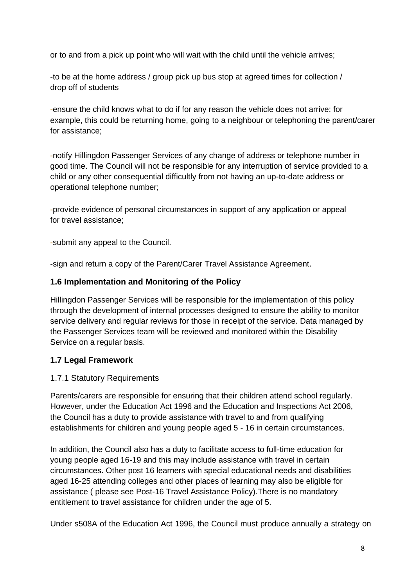or to and from a pick up point who will wait with the child until the vehicle arrives;

-to be at the home address / group pick up bus stop at agreed times for collection / drop off of students

-ensure the child knows what to do if for any reason the vehicle does not arrive: for example, this could be returning home, going to a neighbour or telephoning the parent/carer for assistance;

-notify Hillingdon Passenger Services of any change of address or telephone number in good time. The Council will not be responsible for any interruption of service provided to a child or any other consequential difficultly from not having an up-to-date address or operational telephone number;

-provide evidence of personal circumstances in support of any application or appeal for travel assistance;

-submit any appeal to the Council.

-sign and return a copy of the Parent/Carer Travel Assistance Agreement.

## <span id="page-7-0"></span>**1.6 Implementation and Monitoring of the Policy**

Hillingdon Passenger Services will be responsible for the implementation of this policy through the development of internal processes designed to ensure the ability to monitor service delivery and regular reviews for those in receipt of the service. Data managed by the Passenger Services team will be reviewed and monitored within the Disability Service on a regular basis.

# <span id="page-7-1"></span>**1.7 Legal Framework**

## <span id="page-7-2"></span>1.7.1 Statutory Requirements

Parents/carers are responsible for ensuring that their children attend school regularly. However, under the Education Act 1996 and the Education and Inspections Act 2006, the Council has a duty to provide assistance with travel to and from qualifying establishments for children and young people aged 5 - 16 in certain circumstances.

In addition, the Council also has a duty to facilitate access to full-time education for young people aged 16-19 and this may include assistance with travel in certain circumstances. Other post 16 learners with special educational needs and disabilities aged 16-25 attending colleges and other places of learning may also be eligible for assistance ( please see Post-16 Travel Assistance Policy).There is no mandatory entitlement to travel assistance for children under the age of 5.

Under s508A of the Education Act 1996, the Council must produce annually a strategy on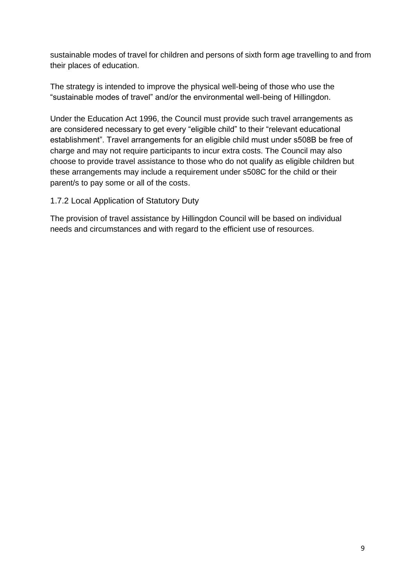sustainable modes of travel for children and persons of sixth form age travelling to and from their places of education.

The strategy is intended to improve the physical well-being of those who use the "sustainable modes of travel" and/or the environmental well-being of Hillingdon.

Under the Education Act 1996, the Council must provide such travel arrangements as are considered necessary to get every "eligible child" to their "relevant educational establishment". Travel arrangements for an eligible child must under s508B be free of charge and may not require participants to incur extra costs. The Council may also choose to provide travel assistance to those who do not qualify as eligible children but these arrangements may include a requirement under s508C for the child or their parent/s to pay some or all of the costs.

## <span id="page-8-0"></span>1.7.2 Local Application of Statutory Duty

The provision of travel assistance by Hillingdon Council will be based on individual needs and circumstances and with regard to the efficient use of resources.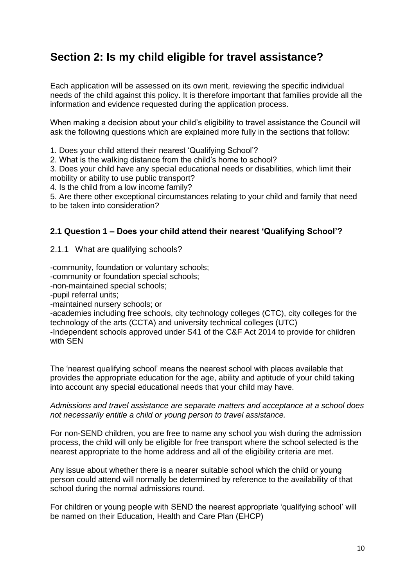# <span id="page-9-0"></span>**Section 2: Is my child eligible for travel assistance?**

Each application will be assessed on its own merit, reviewing the specific individual needs of the child against this policy. It is therefore important that families provide all the information and evidence requested during the application process.

When making a decision about your child's eligibility to travel assistance the Council will ask the following questions which are explained more fully in the sections that follow:

1. Does your child attend their nearest 'Qualifying School'?

2. What is the walking distance from the child's home to school?

3. Does your child have any special educational needs or disabilities, which limit their mobility or ability to use public transport?

4. Is the child from a low income family?

5. Are there other exceptional circumstances relating to your child and family that need to be taken into consideration?

### <span id="page-9-1"></span>**2.1 Question 1 – Does your child attend their nearest 'Qualifying School'?**

<span id="page-9-2"></span>2.1.1 What are qualifying schools?

-community, foundation or voluntary schools;

-community or foundation special schools;

-non-maintained special schools;

-pupil referral units;

-maintained nursery schools; or

-academies including free schools, city technology colleges (CTC), city colleges for the technology of the arts (CCTA) and university technical colleges (UTC)

-Independent schools approved under S41 of the C&F Act 2014 to provide for children with SEN

The 'nearest qualifying school' means the nearest school with places available that provides the appropriate education for the age, ability and aptitude of your child taking into account any special educational needs that your child may have.

*Admissions and travel assistance are separate matters and acceptance at a school does not necessarily entitle a child or young person to travel assistance.* 

For non-SEND children, you are free to name any school you wish during the admission process, the child will only be eligible for free transport where the school selected is the nearest appropriate to the home address and all of the eligibility criteria are met.

Any issue about whether there is a nearer suitable school which the child or young person could attend will normally be determined by reference to the availability of that school during the normal admissions round.

For children or young people with SEND the nearest appropriate 'qualifying school' will be named on their Education, Health and Care Plan (EHCP)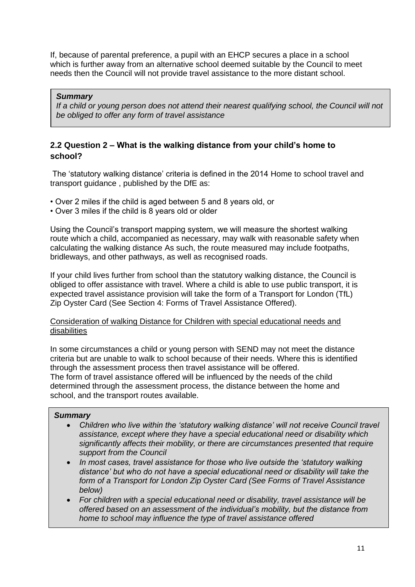If, because of parental preference, a pupil with an EHCP secures a place in a school which is further away from an alternative school deemed suitable by the Council to meet needs then the Council will not provide travel assistance to the more distant school.

#### *Summary*

*If a child or young person does not attend their nearest qualifying school, the Council will not be obliged to offer any form of travel assistance*

### <span id="page-10-0"></span>**2.2 Question 2 – What is the walking distance from your child's home to school?**

The 'statutory walking distance' criteria is defined in the 2014 Home to school travel and transport guidance , published by the DfE as:

- Over 2 miles if the child is aged between 5 and 8 years old, or
- Over 3 miles if the child is 8 years old or older

Using the Council's transport mapping system, we will measure the shortest walking route which a child, accompanied as necessary, may walk with reasonable safety when calculating the walking distance As such, the route measured may include footpaths, bridleways, and other pathways, as well as recognised roads.

If your child lives further from school than the statutory walking distance, the Council is obliged to offer assistance with travel. Where a child is able to use public transport, it is expected travel assistance provision will take the form of a Transport for London (TfL) Zip Oyster Card (See Section 4: Forms of Travel Assistance Offered).

#### Consideration of walking Distance for Children with special educational needs and disabilities

In some circumstances a child or young person with SEND may not meet the distance criteria but are unable to walk to school because of their needs. Where this is identified through the assessment process then travel assistance will be offered. The form of travel assistance offered will be influenced by the needs of the child determined through the assessment process, the distance between the home and school, and the transport routes available.

#### *Summary*

- *Children who live within the 'statutory walking distance' will not receive Council travel assistance, except where they have a special educational need or disability which significantly affects their mobility, or there are circumstances presented that require support from the Council*
- *In most cases, travel assistance for those who live outside the 'statutory walking distance' but who do not have a special educational need or disability will take the form of a Transport for London Zip Oyster Card (See Forms of Travel Assistance below)*
- *For children with a special educational need or disability, travel assistance will be offered based on an assessment of the individual's mobility, but the distance from home to school may influence the type of travel assistance offered*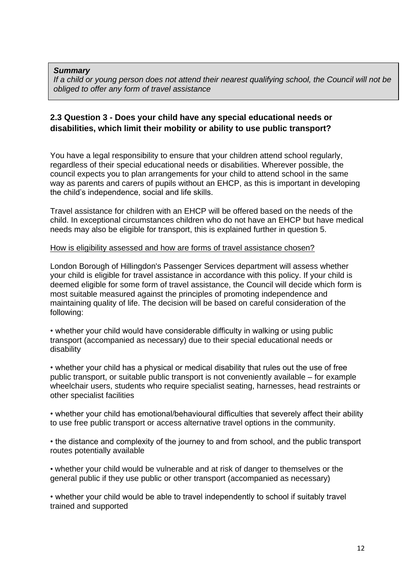#### *Summary*

*If a child or young person does not attend their nearest qualifying school, the Council will not be obliged to offer any form of travel assistance*

## <span id="page-11-0"></span>**2.3 Question 3 - Does your child have any special educational needs or disabilities, which limit their mobility or ability to use public transport?**

You have a legal responsibility to ensure that your children attend school regularly, regardless of their special educational needs or disabilities. Wherever possible, the council expects you to plan arrangements for your child to attend school in the same way as parents and carers of pupils without an EHCP, as this is important in developing the child's independence, social and life skills.

Travel assistance for children with an EHCP will be offered based on the needs of the child. In exceptional circumstances children who do not have an EHCP but have medical needs may also be eligible for transport, this is explained further in question 5.

#### How is eligibility assessed and how are forms of travel assistance chosen?

London Borough of Hillingdon's Passenger Services department will assess whether your child is eligible for travel assistance in accordance with this policy. If your child is deemed eligible for some form of travel assistance, the Council will decide which form is most suitable measured against the principles of promoting independence and maintaining quality of life. The decision will be based on careful consideration of the following:

• whether your child would have considerable difficulty in walking or using public transport (accompanied as necessary) due to their special educational needs or disability

• whether your child has a physical or medical disability that rules out the use of free public transport, or suitable public transport is not conveniently available – for example wheelchair users, students who require specialist seating, harnesses, head restraints or other specialist facilities

• whether your child has emotional/behavioural difficulties that severely affect their ability to use free public transport or access alternative travel options in the community.

• the distance and complexity of the journey to and from school, and the public transport routes potentially available

• whether your child would be vulnerable and at risk of danger to themselves or the general public if they use public or other transport (accompanied as necessary)

• whether your child would be able to travel independently to school if suitably travel trained and supported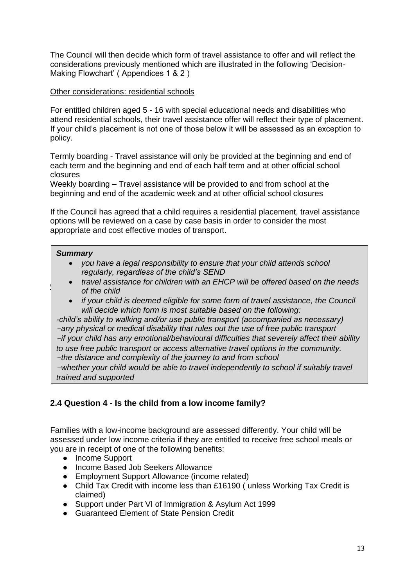The Council will then decide which form of travel assistance to offer and will reflect the considerations previously mentioned which are illustrated in the following 'Decision-Making Flowchart' ( Appendices 1 & 2 )

### Other considerations: residential schools

For entitled children aged 5 - 16 with special educational needs and disabilities who attend residential schools, their travel assistance offer will reflect their type of placement. If your child's placement is not one of those below it will be assessed as an exception to policy.

Termly boarding - Travel assistance will only be provided at the beginning and end of each term and the beginning and end of each half term and at other official school closures

Weekly boarding – Travel assistance will be provided to and from school at the beginning and end of the academic week and at other official school closures

If the Council has agreed that a child requires a residential placement, travel assistance options will be reviewed on a case by case basis in order to consider the most appropriate and cost effective modes of transport.

### *Summary*

- *you have a legal responsibility to ensure that your child attends school regularly, regardless of the child's SEND*
- **•** *travel assistance for children with an EHCP will be offered based on the needs*  $\cdot$ *of the child* 
	- *if your child is deemed eligible for some form of travel assistance, the Council will decide which form is most suitable based on the following:*

*-child's ability to walking and/or use public transport (accompanied as necessary) -any physical or medical disability that rules out the use of free public transport -if your child has any emotional/behavioural difficulties that severely affect their ability to use free public transport or access alternative travel options in the community. -the distance and complexity of the journey to and from school* 

*-whether your child would be able to travel independently to school if suitably travel trained and supported* 

## <span id="page-12-0"></span>**2.4 Question 4 - Is the child from a low income family?**

Families with a low-income background are assessed differently. Your child will be assessed under low income criteria if they are entitled to receive free school meals or you are in receipt of one of the following benefits:

- Income Support
- Income Based Job Seekers Allowance
- Employment Support Allowance (income related)
- Child Tax Credit with income less than £16190 (unless Working Tax Credit is claimed)
- Support under Part VI of Immigration & Asylum Act 1999
- Guaranteed Flement of State Pension Credit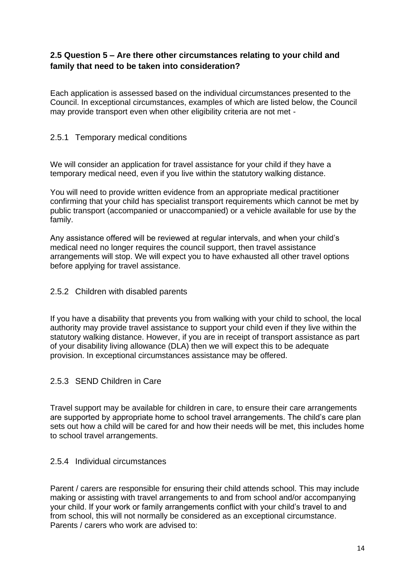## <span id="page-13-0"></span>**2.5 Question 5 – Are there other circumstances relating to your child and family that need to be taken into consideration?**

Each application is assessed based on the individual circumstances presented to the Council. In exceptional circumstances, examples of which are listed below, the Council may provide transport even when other eligibility criteria are not met -

## <span id="page-13-1"></span>2.5.1 Temporary medical conditions

We will consider an application for travel assistance for your child if they have a temporary medical need, even if you live within the statutory walking distance.

You will need to provide written evidence from an appropriate medical practitioner confirming that your child has specialist transport requirements which cannot be met by public transport (accompanied or unaccompanied) or a vehicle available for use by the family.

Any assistance offered will be reviewed at regular intervals, and when your child's medical need no longer requires the council support, then travel assistance arrangements will stop. We will expect you to have exhausted all other travel options before applying for travel assistance.

### <span id="page-13-2"></span>2.5.2 Children with disabled parents

If you have a disability that prevents you from walking with your child to school, the local authority may provide travel assistance to support your child even if they live within the statutory walking distance. However, if you are in receipt of transport assistance as part of your disability living allowance (DLA) then we will expect this to be adequate provision. In exceptional circumstances assistance may be offered.

## <span id="page-13-3"></span>2.5.3 SEND Children in Care

Travel support may be available for children in care, to ensure their care arrangements are supported by appropriate home to school travel arrangements. The child's care plan sets out how a child will be cared for and how their needs will be met, this includes home to school travel arrangements.

### <span id="page-13-4"></span>2.5.4 Individual circumstances

Parent / carers are responsible for ensuring their child attends school. This may include making or assisting with travel arrangements to and from school and/or accompanying your child. If your work or family arrangements conflict with your child's travel to and from school, this will not normally be considered as an exceptional circumstance. Parents / carers who work are advised to: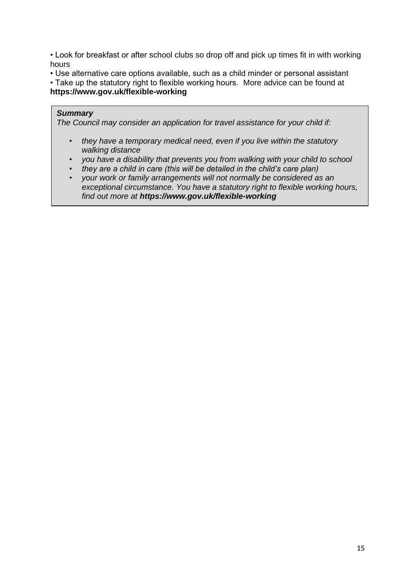• Look for breakfast or after school clubs so drop off and pick up times fit in with working hours

• Use alternative care options available, such as a child minder or personal assistant

• Take up the statutory right to flexible working hours. More advice can be found at **https://www.gov.uk/flexible-working** 

#### *Summary*

*The Council may consider an application for travel assistance for your child if:* 

- *they have a temporary medical need, even if you live within the statutory walking distance*
- *you have a disability that prevents you from walking with your child to school*
- *they are a child in care (this will be detailed in the child's care plan)*
- *your work or family arrangements will not normally be considered as an exceptional circumstance. You have a statutory right to flexible working hours, find out more at https://www.gov.uk/flexible-working*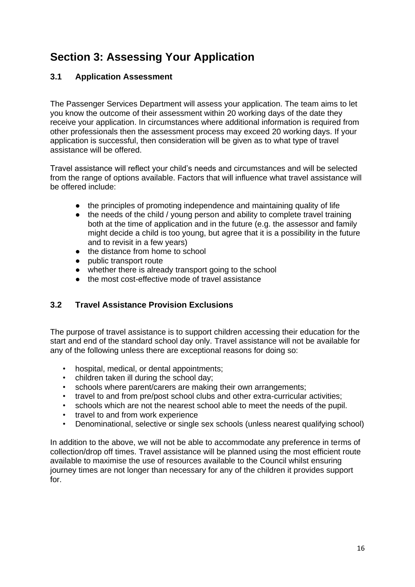# <span id="page-15-0"></span>**Section 3: Assessing Your Application**

# <span id="page-15-1"></span>**3.1 Application Assessment**

The Passenger Services Department will assess your application. The team aims to let you know the outcome of their assessment within 20 working days of the date they receive your application. In circumstances where additional information is required from other professionals then the assessment process may exceed 20 working days. If your application is successful, then consideration will be given as to what type of travel assistance will be offered.

Travel assistance will reflect your child's needs and circumstances and will be selected from the range of options available. Factors that will influence what travel assistance will be offered include:

- the principles of promoting independence and maintaining quality of life
- the needs of the child / young person and ability to complete travel training both at the time of application and in the future (e.g. the assessor and family might decide a child is too young, but agree that it is a possibility in the future and to revisit in a few years)
- the distance from home to school
- public transport route
- whether there is already transport going to the school
- the most cost-effective mode of travel assistance

## <span id="page-15-2"></span>**3.2 Travel Assistance Provision Exclusions**

The purpose of travel assistance is to support children accessing their education for the start and end of the standard school day only. Travel assistance will not be available for any of the following unless there are exceptional reasons for doing so:

- hospital, medical, or dental appointments;
- children taken ill during the school day;
- schools where parent/carers are making their own arrangements;
- travel to and from pre/post school clubs and other extra-curricular activities;
- schools which are not the nearest school able to meet the needs of the pupil.
- travel to and from work experience
- Denominational, selective or single sex schools (unless nearest qualifying school)

In addition to the above, we will not be able to accommodate any preference in terms of collection/drop off times. Travel assistance will be planned using the most efficient route available to maximise the use of resources available to the Council whilst ensuring journey times are not longer than necessary for any of the children it provides support for.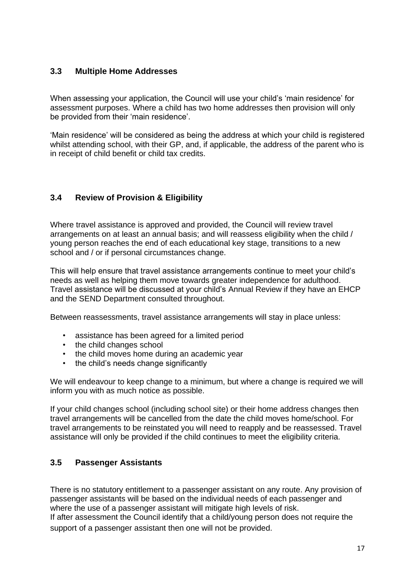## <span id="page-16-0"></span>**3.3 Multiple Home Addresses**

When assessing your application, the Council will use your child's 'main residence' for assessment purposes. Where a child has two home addresses then provision will only be provided from their 'main residence'.

'Main residence' will be considered as being the address at which your child is registered whilst attending school, with their GP, and, if applicable, the address of the parent who is in receipt of child benefit or child tax credits.

# <span id="page-16-1"></span>**3.4 Review of Provision & Eligibility**

Where travel assistance is approved and provided, the Council will review travel arrangements on at least an annual basis; and will reassess eligibility when the child / young person reaches the end of each educational key stage, transitions to a new school and / or if personal circumstances change.

This will help ensure that travel assistance arrangements continue to meet your child's needs as well as helping them move towards greater independence for adulthood. Travel assistance will be discussed at your child's Annual Review if they have an EHCP and the SEND Department consulted throughout.

Between reassessments, travel assistance arrangements will stay in place unless:

- assistance has been agreed for a limited period
- the child changes school
- the child moves home during an academic year
- the child's needs change significantly

We will endeavour to keep change to a minimum, but where a change is required we will inform you with as much notice as possible.

If your child changes school (including school site) or their home address changes then travel arrangements will be cancelled from the date the child moves home/school. For travel arrangements to be reinstated you will need to reapply and be reassessed. Travel assistance will only be provided if the child continues to meet the eligibility criteria.

## <span id="page-16-2"></span>**3.5 Passenger Assistants**

There is no statutory entitlement to a passenger assistant on any route. Any provision of passenger assistants will be based on the individual needs of each passenger and where the use of a passenger assistant will mitigate high levels of risk.

If after assessment the Council identify that a child/young person does not require the support of a passenger assistant then one will not be provided.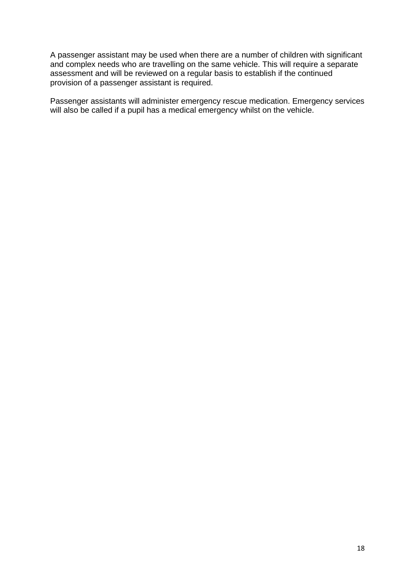A passenger assistant may be used when there are a number of children with significant and complex needs who are travelling on the same vehicle. This will require a separate assessment and will be reviewed on a regular basis to establish if the continued provision of a passenger assistant is required.

Passenger assistants will administer emergency rescue medication. Emergency services will also be called if a pupil has a medical emergency whilst on the vehicle.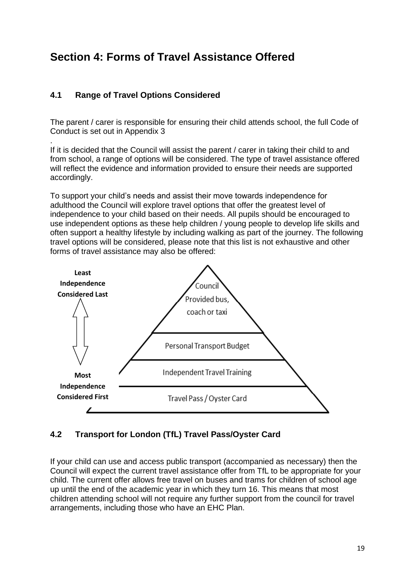# <span id="page-18-0"></span>**Section 4: Forms of Travel Assistance Offered**

# <span id="page-18-1"></span>**4.1 Range of Travel Options Considered**

.

The parent / carer is responsible for ensuring their child attends school, the full Code of Conduct is set out in Appendix 3

If it is decided that the Council will assist the parent / carer in taking their child to and from school, a range of options will be considered. The type of travel assistance offered will reflect the evidence and information provided to ensure their needs are supported accordingly.

To support your child's needs and assist their move towards independence for adulthood the Council will explore travel options that offer the greatest level of independence to your child based on their needs. All pupils should be encouraged to use independent options as these help children / young people to develop life skills and often support a healthy lifestyle by including walking as part of the journey. The following travel options will be considered, please note that this list is not exhaustive and other forms of travel assistance may also be offered:



# <span id="page-18-2"></span>**4.2 Transport for London (TfL) Travel Pass/Oyster Card**

If your child can use and access public transport (accompanied as necessary) then the Council will expect the current travel assistance offer from TfL to be appropriate for your child. The current offer allows free travel on buses and trams for children of school age up until the end of the academic year in which they turn 16. This means that most children attending school will not require any further support from the council for travel arrangements, including those who have an EHC Plan.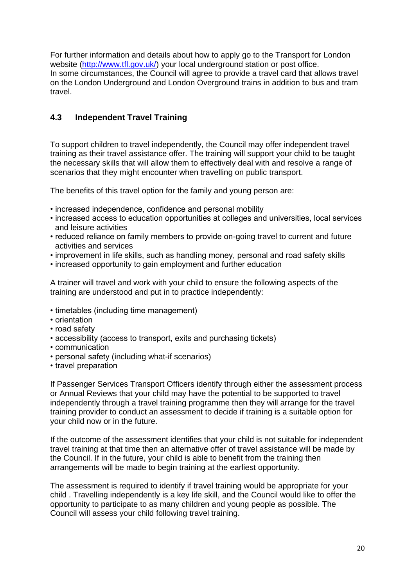For further information and details about how to apply go to the Transport for London website [\(http://www.tfl.gov.uk/\)](http://www.tfl.gov.uk/) your local underground station or post office. In some circumstances, the Council will agree to provide a travel card that allows travel on the London Underground and London Overground trains in addition to bus and tram travel.

# <span id="page-19-0"></span>**4.3 Independent Travel Training**

To support children to travel independently, the Council may offer independent travel training as their travel assistance offer. The training will support your child to be taught the necessary skills that will allow them to effectively deal with and resolve a range of scenarios that they might encounter when travelling on public transport.

The benefits of this travel option for the family and young person are:

- increased independence, confidence and personal mobility
- increased access to education opportunities at colleges and universities, local services and leisure activities
- reduced reliance on family members to provide on-going travel to current and future activities and services
- improvement in life skills, such as handling money, personal and road safety skills
- increased opportunity to gain employment and further education

A trainer will travel and work with your child to ensure the following aspects of the training are understood and put in to practice independently:

- timetables (including time management)
- orientation
- road safety
- accessibility (access to transport, exits and purchasing tickets)
- communication
- personal safety (including what-if scenarios)
- travel preparation

If Passenger Services Transport Officers identify through either the assessment process or Annual Reviews that your child may have the potential to be supported to travel independently through a travel training programme then they will arrange for the travel training provider to conduct an assessment to decide if training is a suitable option for your child now or in the future.

If the outcome of the assessment identifies that your child is not suitable for independent travel training at that time then an alternative offer of travel assistance will be made by the Council. If in the future, your child is able to benefit from the training then arrangements will be made to begin training at the earliest opportunity.

The assessment is required to identify if travel training would be appropriate for your child . Travelling independently is a key life skill, and the Council would like to offer the opportunity to participate to as many children and young people as possible. The Council will assess your child following travel training.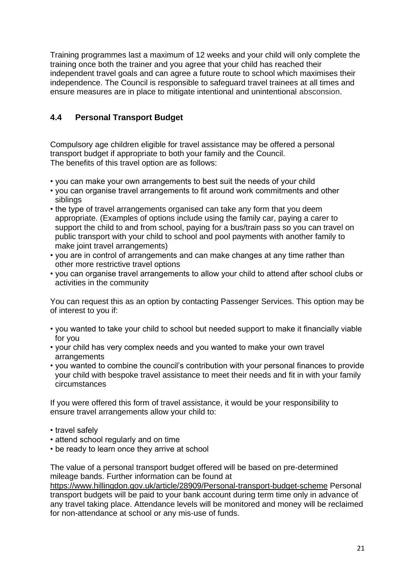Training programmes last a maximum of 12 weeks and your child will only complete the training once both the trainer and you agree that your child has reached their independent travel goals and can agree a future route to school which maximises their independence. The Council is responsible to safeguard travel trainees at all times and ensure measures are in place to mitigate intentional and unintentional absconsion.

# <span id="page-20-0"></span>**4.4 Personal Transport Budget**

Compulsory age children eligible for travel assistance may be offered a personal transport budget if appropriate to both your family and the Council. The benefits of this travel option are as follows:

- you can make your own arrangements to best suit the needs of your child
- you can organise travel arrangements to fit around work commitments and other siblings
- the type of travel arrangements organised can take any form that you deem appropriate. (Examples of options include using the family car, paying a carer to support the child to and from school, paying for a bus/train pass so you can travel on public transport with your child to school and pool payments with another family to make joint travel arrangements)
- you are in control of arrangements and can make changes at any time rather than other more restrictive travel options
- you can organise travel arrangements to allow your child to attend after school clubs or activities in the community

You can request this as an option by contacting Passenger Services. This option may be of interest to you if:

- you wanted to take your child to school but needed support to make it financially viable for you
- your child has very complex needs and you wanted to make your own travel arrangements
- you wanted to combine the council's contribution with your personal finances to provide your child with bespoke travel assistance to meet their needs and fit in with your family circumstances

If you were offered this form of travel assistance, it would be your responsibility to ensure travel arrangements allow your child to:

- travel safely
- attend school regularly and on time
- be ready to learn once they arrive at school

The value of a personal transport budget offered will be based on pre-determined mileage bands. Further information can be found at

https://www.hillingdon.gov.uk/article/28909/Personal-transport-budget-scheme Personal transport budgets will be paid to your bank account during term time only in advance of any travel taking place. Attendance levels will be monitored and money will be reclaimed for non-attendance at school or any mis-use of funds.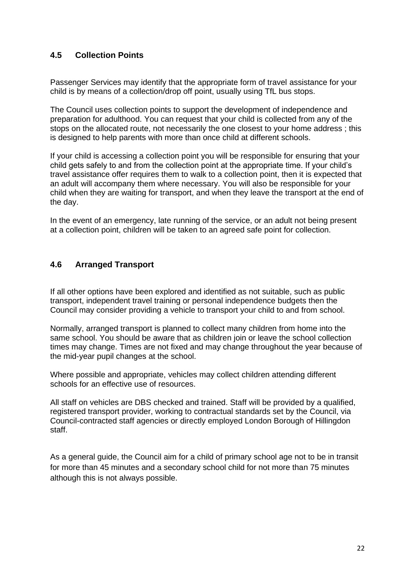## <span id="page-21-0"></span>**4.5 Collection Points**

Passenger Services may identify that the appropriate form of travel assistance for your child is by means of a collection/drop off point, usually using TfL bus stops.

The Council uses collection points to support the development of independence and preparation for adulthood. You can request that your child is collected from any of the stops on the allocated route, not necessarily the one closest to your home address ; this is designed to help parents with more than once child at different schools.

If your child is accessing a collection point you will be responsible for ensuring that your child gets safely to and from the collection point at the appropriate time. If your child's travel assistance offer requires them to walk to a collection point, then it is expected that an adult will accompany them where necessary. You will also be responsible for your child when they are waiting for transport, and when they leave the transport at the end of the day.

In the event of an emergency, late running of the service, or an adult not being present at a collection point, children will be taken to an agreed safe point for collection.

### <span id="page-21-1"></span>**4.6 Arranged Transport**

If all other options have been explored and identified as not suitable, such as public transport, independent travel training or personal independence budgets then the Council may consider providing a vehicle to transport your child to and from school.

Normally, arranged transport is planned to collect many children from home into the same school. You should be aware that as children join or leave the school collection times may change. Times are not fixed and may change throughout the year because of the mid-year pupil changes at the school.

Where possible and appropriate, vehicles may collect children attending different schools for an effective use of resources.

All staff on vehicles are DBS checked and trained. Staff will be provided by a qualified, registered transport provider, working to contractual standards set by the Council, via Council-contracted staff agencies or directly employed London Borough of Hillingdon staff.

As a general guide, the Council aim for a child of primary school age not to be in transit for more than 45 minutes and a secondary school child for not more than 75 minutes although this is not always possible.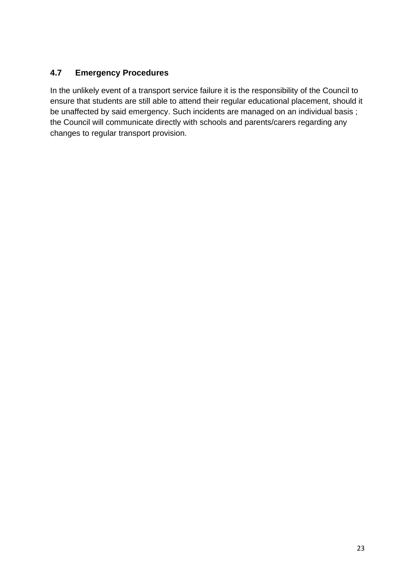# <span id="page-22-0"></span>**4.7 Emergency Procedures**

In the unlikely event of a transport service failure it is the responsibility of the Council to ensure that students are still able to attend their regular educational placement, should it be unaffected by said emergency. Such incidents are managed on an individual basis ; the Council will communicate directly with schools and parents/carers regarding any changes to regular transport provision.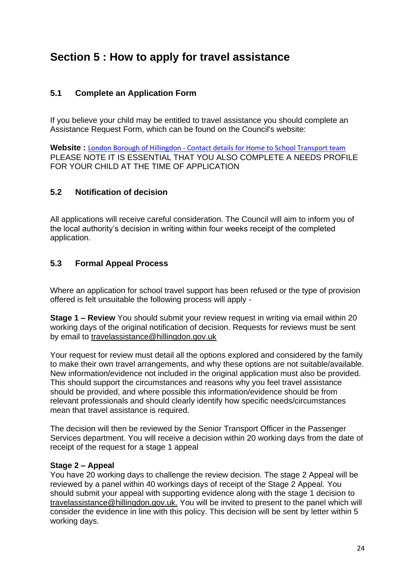# <span id="page-23-0"></span>**Section 5 : How to apply for travel assistance**

## <span id="page-23-1"></span>**5.1 Complete an Application Form**

If you believe your child may be entitled to travel assistance you should complete an Assistance Request Form, which can be found on the Council's website:

Website : **London Borough of Hillingdon - [Contact details for Home to School Transport team](https://archive.hillingdon.gov.uk/article/20109/Contact-details-for-Home-to-School-Transport-team)** PLEASE NOTE IT IS ESSENTIAL THAT YOU ALSO COMPLETE A NEEDS PROFILE FOR YOUR CHILD AT THE TIME OF APPLICATION

## <span id="page-23-2"></span>**5.2 Notification of decision**

All applications will receive careful consideration. The Council will aim to inform you of the local authority's decision in writing within four weeks receipt of the completed application.

## <span id="page-23-3"></span>**5.3 Formal Appeal Process**

Where an application for school travel support has been refused or the type of provision offered is felt unsuitable the following process will apply -

**Stage 1 – Review** You should submit your review request in writing via email within 20 working days of the original notification of decision. Requests for reviews must be sent by email to travelassistance@hillingdon.gov.uk

Your request for review must detail all the options explored and considered by the family to make their own travel arrangements, and why these options are not suitable/available. New information/evidence not included in the original application must also be provided. This should support the circumstances and reasons why you feel travel assistance should be provided, and where possible this information/evidence should be from relevant professionals and should clearly identify how specific needs/circumstances mean that travel assistance is required.

The decision will then be reviewed by the Senior Transport Officer in the Passenger Services department. You will receive a decision within 20 working days from the date of receipt of the request for a stage 1 appeal

### **Stage 2 – Appeal**

You have 20 working days to challenge the review decision. The stage 2 Appeal will be reviewed by a panel within 40 workings days of receipt of the Stage 2 Appeal. You should submit your appeal with supporting evidence along with the stage 1 decision to travelassistance@hillingdon.gov.uk. You will be invited to present to the panel which will consider the evidence in line with this policy. This decision will be sent by letter within 5 working days.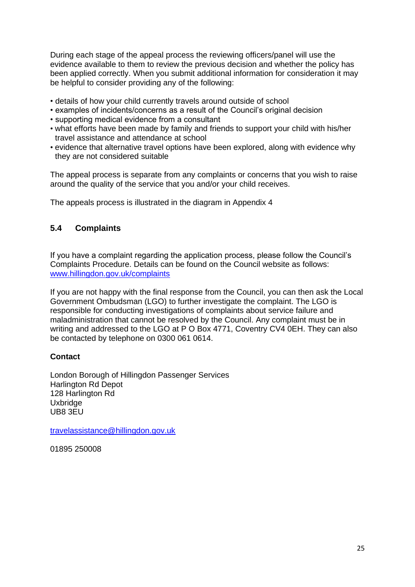During each stage of the appeal process the reviewing officers/panel will use the evidence available to them to review the previous decision and whether the policy has been applied correctly. When you submit additional information for consideration it may be helpful to consider providing any of the following:

- details of how your child currently travels around outside of school
- examples of incidents/concerns as a result of the Council's original decision
- supporting medical evidence from a consultant
- what efforts have been made by family and friends to support your child with his/her travel assistance and attendance at school
- evidence that alternative travel options have been explored, along with evidence why they are not considered suitable

The appeal process is separate from any complaints or concerns that you wish to raise around the quality of the service that you and/or your child receives.

The appeals process is illustrated in the diagram in Appendix 4

## <span id="page-24-0"></span>**5.4 Complaints**

If you have a complaint regarding the application process, please follow the Council's Complaints Procedure. Details can be found on the Council website as follows: [www.hillingdon.gov.uk/complaints](http://www.hillingdon.gov.uk/complaints)

If you are not happy with the final response from the Council, you can then ask the Local Government Ombudsman (LGO) to further investigate the complaint. The LGO is responsible for conducting investigations of complaints about service failure and maladministration that cannot be resolved by the Council. Any complaint must be in writing and addressed to the LGO at P O Box 4771, Coventry CV4 0EH. They can also be contacted by telephone on 0300 061 0614.

### **Contact**

London Borough of Hillingdon Passenger Services Harlington Rd Depot 128 Harlington Rd **Uxbridge** UB8 3EU

[travelassistance@hillingdon.gov.uk](mailto:travelassistance@hillingdon.gov.uk)

01895 250008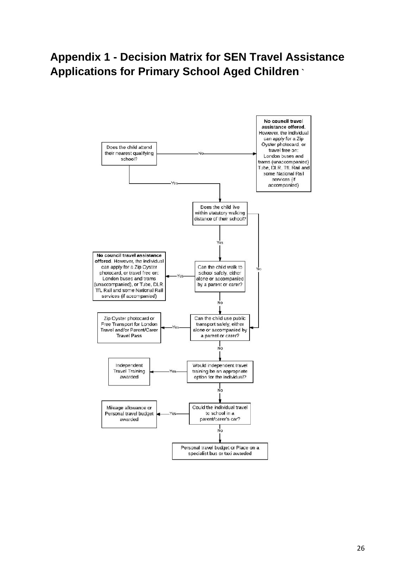# <span id="page-25-0"></span>**Appendix 1 - Decision Matrix for SEN Travel Assistance Applications for Primary School Aged Children `**

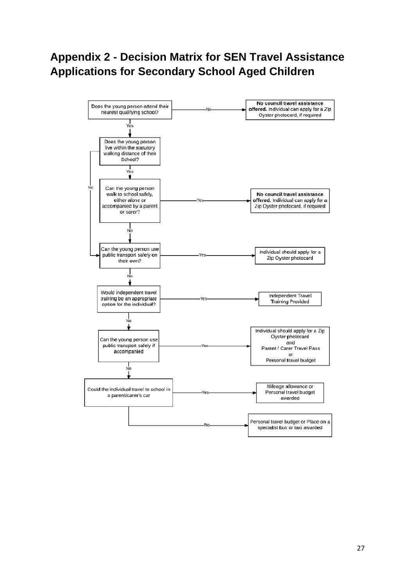# <span id="page-26-0"></span>**Appendix 2 - Decision Matrix for SEN Travel Assistance Applications for Secondary School Aged Children**

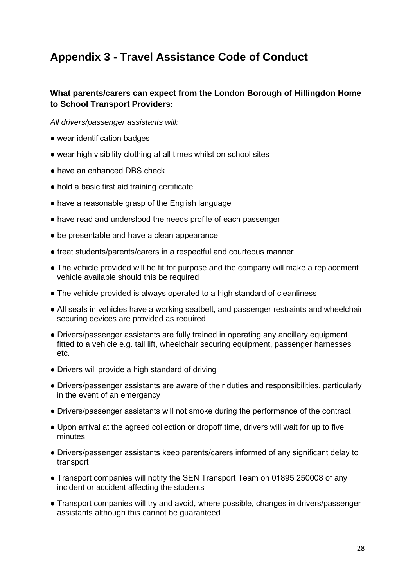# <span id="page-27-0"></span>**Appendix 3 - Travel Assistance Code of Conduct**

## <span id="page-27-1"></span>**What parents/carers can expect from the London Borough of Hillingdon Home to School Transport Providers:**

*All drivers/passenger assistants will:*

- wear identification badges
- wear high visibility clothing at all times whilst on school sites
- have an enhanced DBS check
- hold a basic first aid training certificate
- have a reasonable grasp of the English language
- have read and understood the needs profile of each passenger
- be presentable and have a clean appearance
- treat students/parents/carers in a respectful and courteous manner
- The vehicle provided will be fit for purpose and the company will make a replacement vehicle available should this be required
- The vehicle provided is always operated to a high standard of cleanliness
- All seats in vehicles have a working seatbelt, and passenger restraints and wheelchair securing devices are provided as required
- Drivers/passenger assistants are fully trained in operating any ancillary equipment fitted to a vehicle e.g. tail lift, wheelchair securing equipment, passenger harnesses etc.
- Drivers will provide a high standard of driving
- Drivers/passenger assistants are aware of their duties and responsibilities, particularly in the event of an emergency
- Drivers/passenger assistants will not smoke during the performance of the contract
- Upon arrival at the agreed collection or dropoff time, drivers will wait for up to five minutes
- Drivers/passenger assistants keep parents/carers informed of any significant delay to transport
- Transport companies will notify the SEN Transport Team on 01895 250008 of any incident or accident affecting the students
- Transport companies will try and avoid, where possible, changes in drivers/passenger assistants although this cannot be guaranteed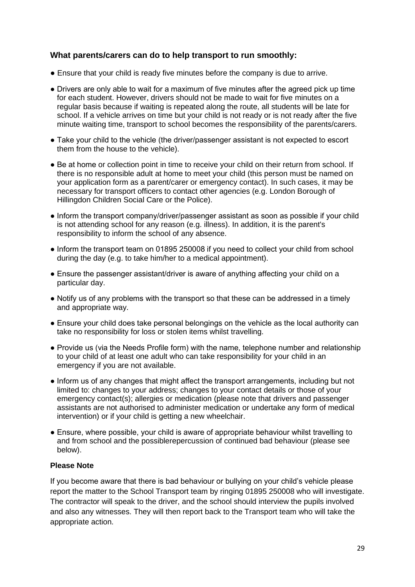## <span id="page-28-0"></span>**What parents/carers can do to help transport to run smoothly:**

- Ensure that your child is ready five minutes before the company is due to arrive.
- Drivers are only able to wait for a maximum of five minutes after the agreed pick up time for each student. However, drivers should not be made to wait for five minutes on a regular basis because if waiting is repeated along the route, all students will be late for school. If a vehicle arrives on time but your child is not ready or is not ready after the five minute waiting time, transport to school becomes the responsibility of the parents/carers.
- Take your child to the vehicle (the driver/passenger assistant is not expected to escort them from the house to the vehicle).
- Be at home or collection point in time to receive your child on their return from school. If there is no responsible adult at home to meet your child (this person must be named on your application form as a parent/carer or emergency contact). In such cases, it may be necessary for transport officers to contact other agencies (e.g. London Borough of Hillingdon Children Social Care or the Police).
- Inform the transport company/driver/passenger assistant as soon as possible if your child is not attending school for any reason (e.g. illness). In addition, it is the parent's responsibility to inform the school of any absence.
- Inform the transport team on 01895 250008 if you need to collect your child from school during the day (e.g. to take him/her to a medical appointment).
- Ensure the passenger assistant/driver is aware of anything affecting your child on a particular day.
- Notify us of any problems with the transport so that these can be addressed in a timely and appropriate way.
- Ensure your child does take personal belongings on the vehicle as the local authority can take no responsibility for loss or stolen items whilst travelling.
- Provide us (via the Needs Profile form) with the name, telephone number and relationship to your child of at least one adult who can take responsibility for your child in an emergency if you are not available.
- Inform us of any changes that might affect the transport arrangements, including but not limited to: changes to your address; changes to your contact details or those of your emergency contact(s); allergies or medication (please note that drivers and passenger assistants are not authorised to administer medication or undertake any form of medical intervention) or if your child is getting a new wheelchair.
- Ensure, where possible, your child is aware of appropriate behaviour whilst travelling to and from school and the possiblerepercussion of continued bad behaviour (please see below).

#### **Please Note**

If you become aware that there is bad behaviour or bullying on your child's vehicle please report the matter to the School Transport team by ringing 01895 250008 who will investigate. The contractor will speak to the driver, and the school should interview the pupils involved and also any witnesses. They will then report back to the Transport team who will take the appropriate action.